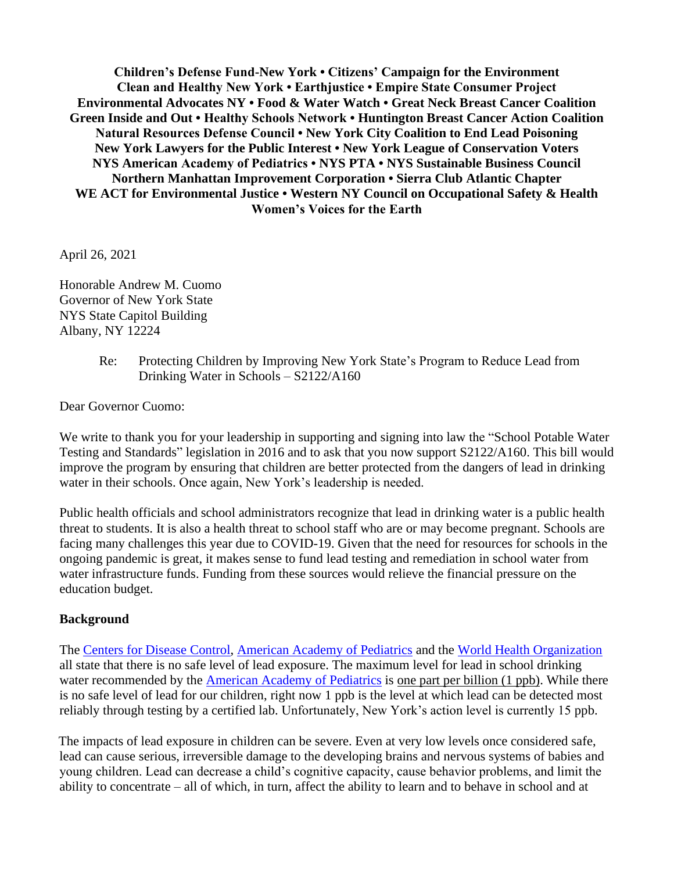**Children's Defense Fund-New York • Citizens' Campaign for the Environment Clean and Healthy New York • Earthjustice • Empire State Consumer Project Environmental Advocates NY • Food & Water Watch • Great Neck Breast Cancer Coalition Green Inside and Out • Healthy Schools Network • Huntington Breast Cancer Action Coalition Natural Resources Defense Council • New York City Coalition to End Lead Poisoning New York Lawyers for the Public Interest • New York League of Conservation Voters NYS American Academy of Pediatrics • NYS PTA • NYS Sustainable Business Council Northern Manhattan Improvement Corporation • Sierra Club Atlantic Chapter WE ACT for Environmental Justice • Western NY Council on Occupational Safety & Health Women's Voices for the Earth** 

April 26, 2021

Honorable Andrew M. Cuomo Governor of New York State NYS State Capitol Building Albany, NY 12224

> Re: Protecting Children by Improving New York State's Program to Reduce Lead from Drinking Water in Schools – S2122/A160

Dear Governor Cuomo:

We write to thank you for your leadership in supporting and signing into law the "School Potable Water" Testing and Standards" legislation in 2016 and to ask that you now support S2122/A160. This bill would improve the program by ensuring that children are better protected from the dangers of lead in drinking water in their schools. Once again, New York's leadership is needed.

Public health officials and school administrators recognize that lead in drinking water is a public health threat to students. It is also a health threat to school staff who are or may become pregnant. Schools are facing many challenges this year due to COVID-19. Given that the need for resources for schools in the ongoing pandemic is great, it makes sense to fund lead testing and remediation in school water from water infrastructure funds. Funding from these sources would relieve the financial pressure on the education budget.

## **Background**

Th[e](https://www.cdc.gov/nceh/lead/acclpp/blood_lead_levels.htm) [Centers for Disease Co](https://www.cdc.gov/nceh/lead/acclpp/blood_lead_levels.htm)ntro[l,](https://www.cdc.gov/nceh/lead/acclpp/blood_lead_levels.htm) [American Academy of Pediatrics](https://www.aap.org/en-us/advocacy-and-policy/aap-health-initiatives/lead-exposure/Pages/Lead-Exposure-in-Children.aspx) and the [World Health Organization](https://www.who.int/en/news-room/fact-sheets/detail/lead-poisoning-and-health) all state that there is no safe level of lead exposure. The maximum level for lead in school drinking water recommended by the [American Academy](https://www.aap.org/en-us/about-the-aap/aap-press-room/Pages/With-No-Amount-of-Lead-Exposure-Safe-for-Children,-American-Academy-of-Pediatrics-Calls-For-Stricter-Regulations.aspx) [of Pediatrics](https://www.aap.org/en-us/about-the-aap/aap-press-room/Pages/With-No-Amount-of-Lead-Exposure-Safe-for-Children,-American-Academy-of-Pediatrics-Calls-For-Stricter-Regulations.aspx) is one part per billion (1 ppb). While there is no safe level of lead for our children, right now 1 ppb is the level at which lead can be detected most reliably through testing by a certified lab. Unfortunately, New York's action level is currently 15 ppb.

The impacts of lead exposure in children can be severe. Even at very low levels once considered safe, lead can cause serious, irreversible damage to the developing brains and nervous systems of babies and young children. Lead can decrease a child's cognitive capacity, cause behavior problems, and limit the ability to concentrate – all of which, in turn, affect the ability to learn and to behave in school and at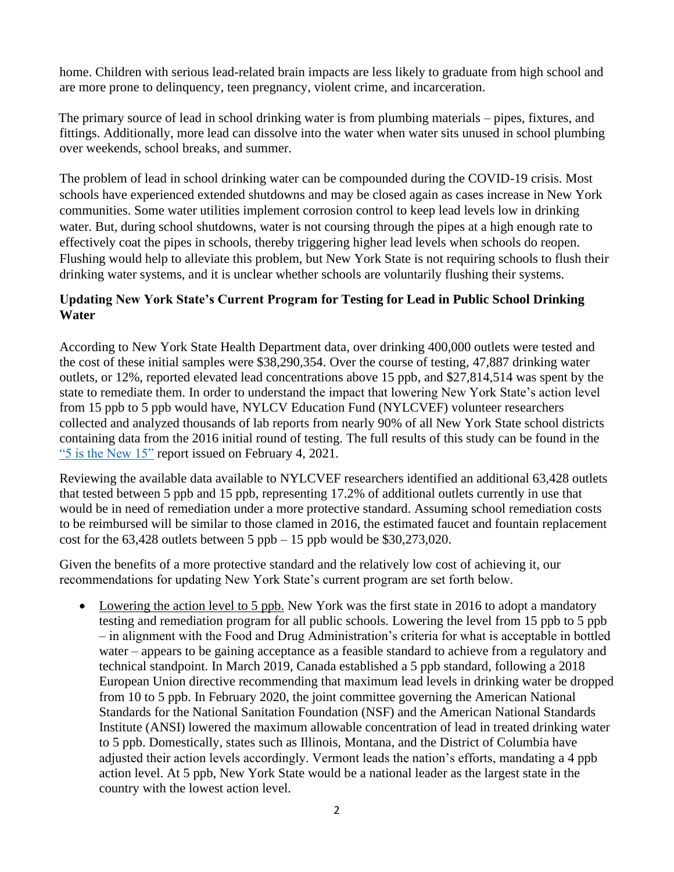home. Children with serious lead-related brain impacts are less likely to graduate from high school and are more prone to delinquency, teen pregnancy, violent crime, and incarceration.

The primary source of lead in school drinking water is from plumbing materials – pipes, fixtures, and fittings. Additionally, more lead can dissolve into the water when water sits unused in school plumbing over weekends, school breaks, and summer.

The problem of lead in school drinking water can be compounded during the COVID-19 crisis. Most schools have experienced extended shutdowns and may be closed again as cases increase in New York communities. Some water utilities implement corrosion control to keep lead levels low in drinking water. But, during school shutdowns, water is not coursing through the pipes at a high enough rate to effectively coat the pipes in schools, thereby triggering higher lead levels when schools do reopen. Flushing would help to alleviate this problem, but New York State is not requiring schools to flush their drinking water systems, and it is unclear whether schools are voluntarily flushing their systems.

## **Updating New York State's Current Program for Testing for Lead in Public School Drinking Water**

According to New York State Health Department data, over drinking 400,000 outlets were tested and the cost of these initial samples were \$38,290,354. Over the course of testing, 47,887 drinking water outlets, or 12%, reported elevated lead concentrations above 15 ppb, and \$27,814,514 was spent by the state to remediate them. In order to understand the impact that lowering New York State's action level from 15 ppb to 5 ppb would have, NYLCV Education Fund (NYLCVEF) volunteer researchers collected and analyzed thousands of lab reports from nearly 90% of all New York State school districts containing data from the 2016 initial round of testing. The full results of this study can be found in the ["5 is the New 15"](https://nylcvef.org/wp-content/uploads/2021/02/Lead-Report_drinking-water.pdf) report issued on February 4, 2021.

Reviewing the available data available to NYLCVEF researchers identified an additional 63,428 outlets that tested between 5 ppb and 15 ppb, representing 17.2% of additional outlets currently in use that would be in need of remediation under a more protective standard. Assuming school remediation costs to be reimbursed will be similar to those clamed in 2016, the estimated faucet and fountain replacement cost for the 63,428 outlets between 5 ppb – 15 ppb would be \$30,273,020.

Given the benefits of a more protective standard and the relatively low cost of achieving it, our recommendations for updating New York State's current program are set forth below.

• Lowering the action level to 5 ppb. New York was the first state in 2016 to adopt a mandatory testing and remediation program for all public schools. Lowering the level from 15 ppb to 5 ppb – in alignment with the Food and Drug Administration's criteria for what is acceptable in bottled water – appears to be gaining acceptance as a feasible standard to achieve from a regulatory and technical standpoint. In March 2019, Canada established a 5 ppb standard, following a 2018 European Union directive recommending that maximum lead levels in drinking water be dropped from 10 to 5 ppb. In February 2020, the joint committee governing the American National Standards for the National Sanitation Foundation (NSF) and the American National Standards Institute (ANSI) lowered the maximum allowable concentration of lead in treated drinking water to 5 ppb. Domestically, states such as Illinois, Montana, and the District of Columbia have adjusted their action levels accordingly. Vermont leads the nation's efforts, mandating a 4 ppb action level. At 5 ppb, New York State would be a national leader as the largest state in the country with the lowest action level.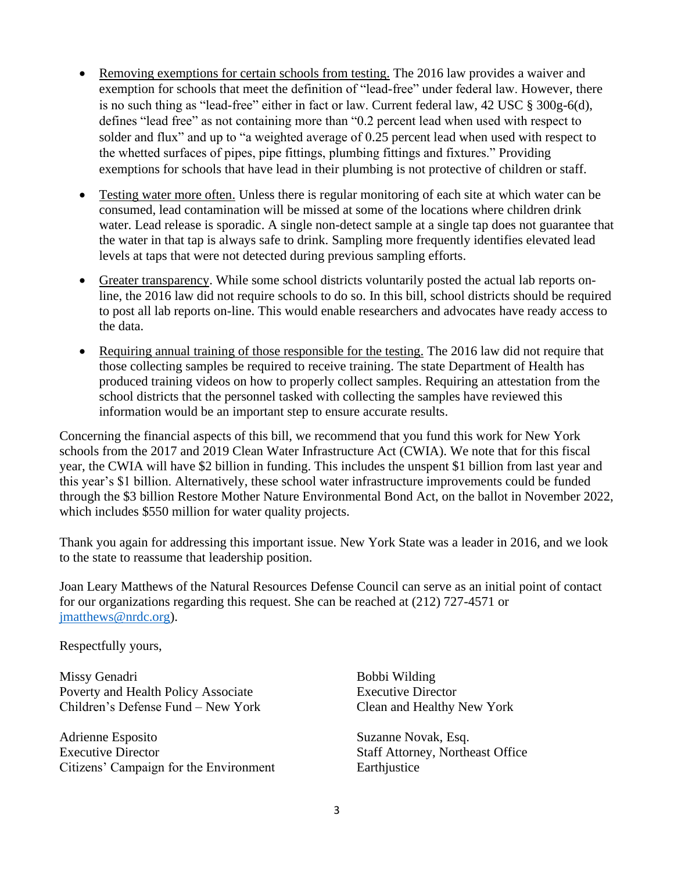- Removing exemptions for certain schools from testing. The 2016 law provides a waiver and exemption for schools that meet the definition of "lead-free" under federal law. However, there is no such thing as "lead-free" either in fact or law. Current federal law, 42 USC § 300g-6(d), defines "lead free" as not containing more than "0.2 percent lead when used with respect to solder and flux" and up to "a weighted average of 0.25 percent lead when used with respect to the whetted surfaces of pipes, pipe fittings, plumbing fittings and fixtures." Providing exemptions for schools that have lead in their plumbing is not protective of children or staff.
- Testing water more often. Unless there is regular monitoring of each site at which water can be consumed, lead contamination will be missed at some of the locations where children drink water. Lead release is sporadic. A single non-detect sample at a single tap does not guarantee that the water in that tap is always safe to drink. Sampling more frequently identifies elevated lead levels at taps that were not detected during previous sampling efforts.
- Greater transparency. While some school districts voluntarily posted the actual lab reports online, the 2016 law did not require schools to do so. In this bill, school districts should be required to post all lab reports on-line. This would enable researchers and advocates have ready access to the data.
- Requiring annual training of those responsible for the testing. The 2016 law did not require that those collecting samples be required to receive training. The state Department of Health has produced training videos on how to properly collect samples. Requiring an attestation from the school districts that the personnel tasked with collecting the samples have reviewed this information would be an important step to ensure accurate results.

Concerning the financial aspects of this bill, we recommend that you fund this work for New York schools from the 2017 and 2019 Clean Water Infrastructure Act (CWIA). We note that for this fiscal year, the CWIA will have \$2 billion in funding. This includes the unspent \$1 billion from last year and this year's \$1 billion. Alternatively, these school water infrastructure improvements could be funded through the \$3 billion Restore Mother Nature Environmental Bond Act, on the ballot in November 2022, which includes \$550 million for water quality projects.

Thank you again for addressing this important issue. New York State was a leader in 2016, and we look to the state to reassume that leadership position.

Joan Leary Matthews of the Natural Resources Defense Council can serve as an initial point of contact for our organizations regarding this request. She can be reached at (212) 727-4571 or [jmatthews@nrdc.org\)](mailto:jmatthews@nrdc.org).

Respectfully yours,

Missy Genadri Poverty and Health Policy Associate Children's Defense Fund – New York

Adrienne Esposito Executive Director Citizens' Campaign for the Environment

Bobbi Wilding Executive Director Clean and Healthy New York

Suzanne Novak, Esq. Staff Attorney, Northeast Office **Earthjustice**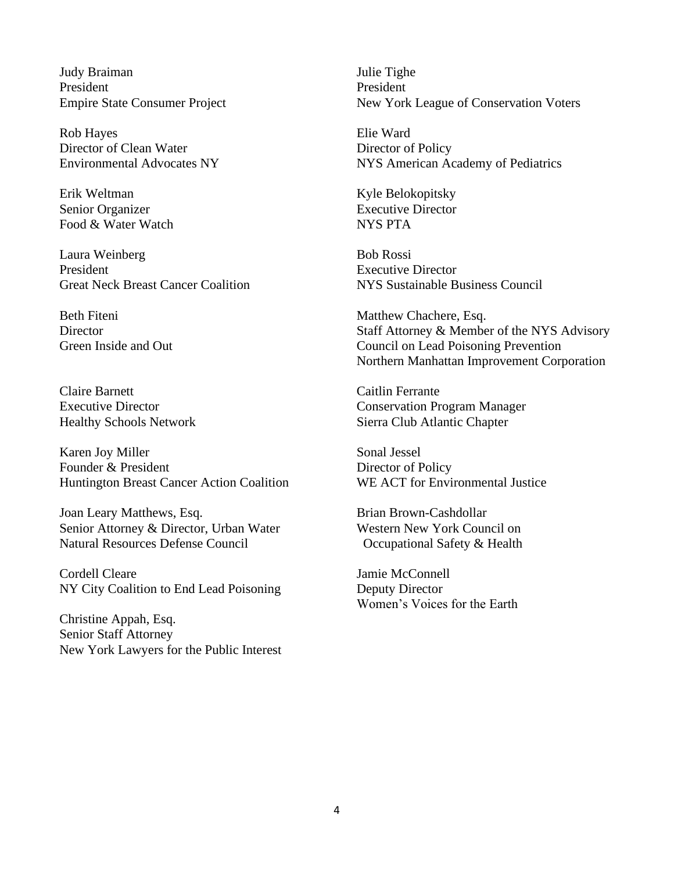Judy Braiman President Empire State Consumer Project

Rob Hayes Director of Clean Water Environmental Advocates NY

Erik Weltman Senior Organizer Food & Water Watch

Laura Weinberg President Great Neck Breast Cancer Coalition

Beth Fiteni **Director** Green Inside and Out

Claire Barnett Executive Director Healthy Schools Network

Karen Joy Miller Founder & President Huntington Breast Cancer Action Coalition

Joan Leary Matthews, Esq. Senior Attorney & Director, Urban Water Natural Resources Defense Council

Cordell Cleare NY City Coalition to End Lead Poisoning

Christine Appah, Esq. Senior Staff Attorney New York Lawyers for the Public Interest

Julie Tighe President New York League of Conservation Voters

Elie Ward Director of Policy NYS American Academy of Pediatrics

Kyle Belokopitsky Executive Director NYS PTA

Bob Rossi Executive Director NYS Sustainable Business Council

Matthew Chachere, Esq. Staff Attorney & Member of the NYS Advisory Council on Lead Poisoning Prevention Northern Manhattan Improvement Corporation

Caitlin Ferrante Conservation Program Manager Sierra Club Atlantic Chapter

Sonal Jessel Director of Policy WE ACT for Environmental Justice

Brian Brown-Cashdollar Western New York Council on Occupational Safety & Health

Jamie McConnell Deputy Director Women's Voices for the Earth